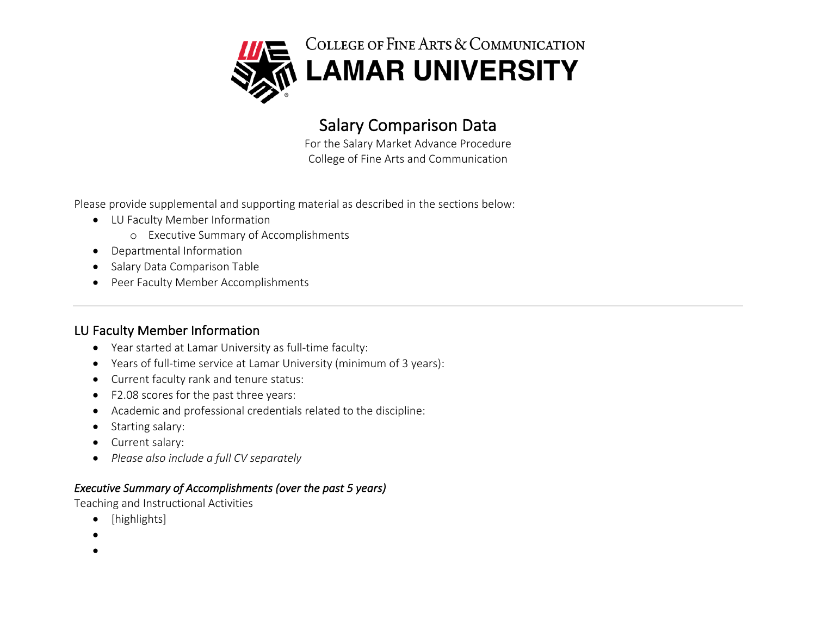

# **Salary Comparison Data**<br>For the Salary Market Advance Procedure

College of Fine Arts and Communication

Please provide supplemental and supporting material as described in the sections below:

- LU Faculty Member Information
	- o Executive Summary of Accomplishments
- Departmental Information
- Salary Data Comparison Table
- Peer Faculty Member Accomplishments

# LU Faculty Member Information

- Year started at Lamar University as full-time faculty:
- Years of full-time service at Lamar University (minimum of 3 years):
- Current faculty rank and tenure status:
- F2.08 scores for the past three years:
- Academic and professional credentials related to the discipline:
- Starting salary:
- Current salary:
- *Please also include a full CV separately*

## *Executive Summary of Accomplishments (over the past 5 years)*

Teaching and Instructional Activities

- [highlights]
- •
- •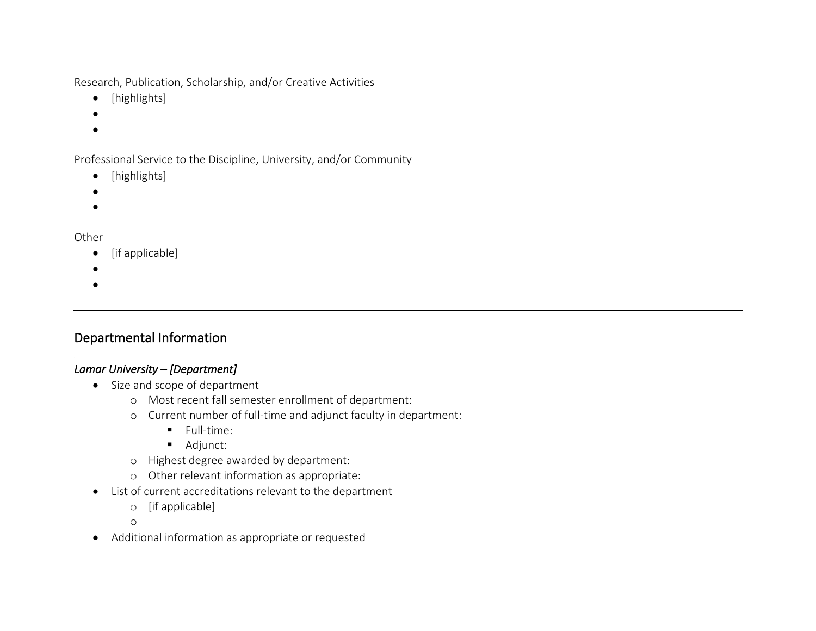Research, Publication, Scholarship, and/or Creative Activities

- [highlights]
- •
- •

Professional Service to the Discipline, University, and/or Community

- [highlights]
- •
- •

#### **Other**

- [if applicable]
- •
- •

# Departmental Information

## *Lamar University – [Department]*

- Size and scope of department
	- o Most recent fall semester enrollment of department:
	- o Current number of full-time and adjunct faculty in department:
		- § Full-time:
		- Adjunct:
	- o Highest degree awarded by department:
	- o Other relevant information as appropriate:
- List of current accreditations relevant to the department
	- o [if applicable]
	- o
- Additional information as appropriate or requested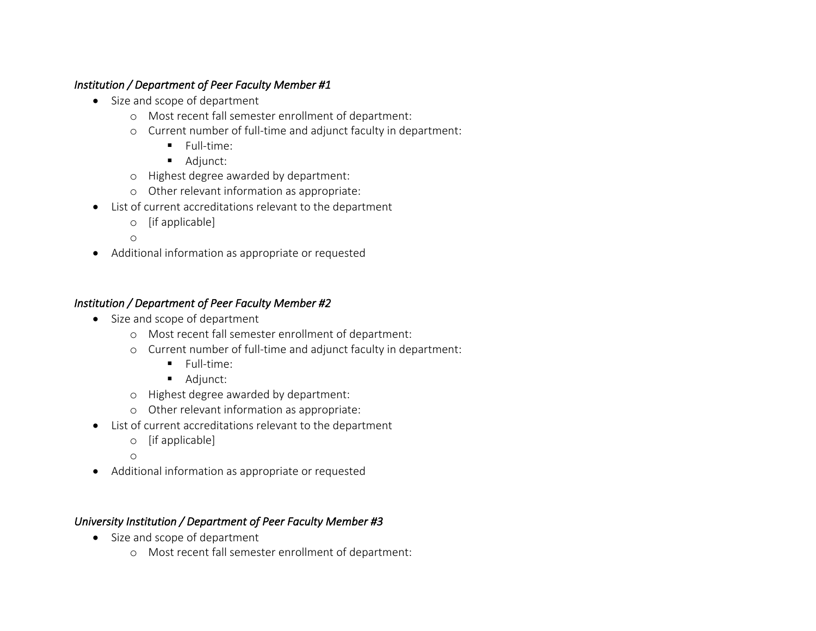#### *Institution / Department of Peer Faculty Member #1*

- Size and scope of department
	- o Most recent fall semester enrollment of department:
	- o Current number of full-time and adjunct faculty in department:
		- § Full-time:
		- Adjunct:
	- o Highest degree awarded by department:
	- o Other relevant information as appropriate:
- List of current accreditations relevant to the department
	- o [if applicable]
	- o
- Additional information as appropriate or requested

## *Institution / Department of Peer Faculty Member #2*

- Size and scope of department
	- o Most recent fall semester enrollment of department:
	- o Current number of full-time and adjunct faculty in department:
		- § Full-time:
		- Adjunct:
	- o Highest degree awarded by department:
	- o Other relevant information as appropriate:
- List of current accreditations relevant to the department
	- o [if applicable]
	- o
- Additional information as appropriate or requested

# *University Institution / Department of Peer Faculty Member #3*

- Size and scope of department
	- o Most recent fall semester enrollment of department: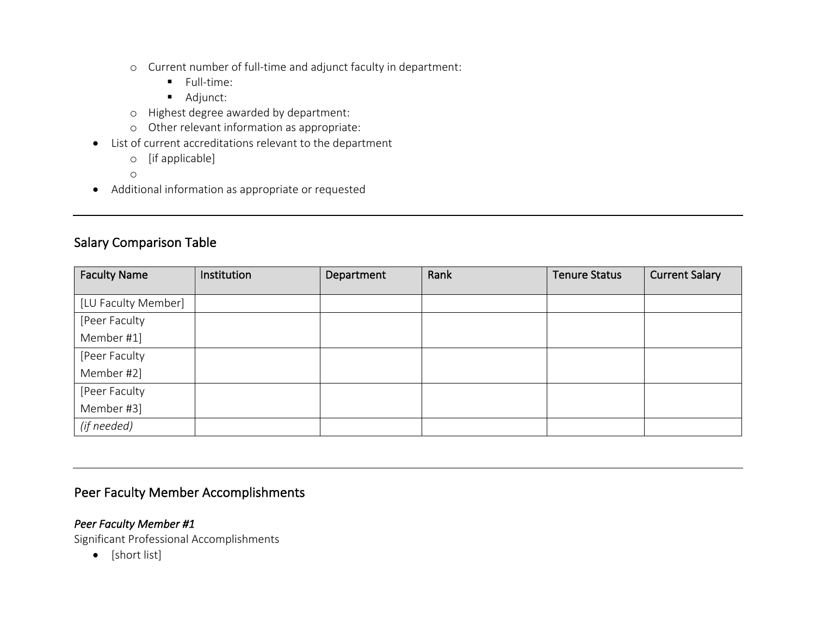- o Current number of full-time and adjunct faculty in department:
	- § Full-time:
	- Adjunct:
- o Highest degree awarded by department:
- o Other relevant information as appropriate:
- List of current accreditations relevant to the department
	- o [if applicable]
	- o
- Additional information as appropriate or requested

# Salary Comparison Table

| <b>Faculty Name</b> | Institution | Department | Rank | <b>Tenure Status</b> | <b>Current Salary</b> |
|---------------------|-------------|------------|------|----------------------|-----------------------|
|                     |             |            |      |                      |                       |
| [LU Faculty Member] |             |            |      |                      |                       |
| [Peer Faculty       |             |            |      |                      |                       |
| Member #1]          |             |            |      |                      |                       |
| [Peer Faculty       |             |            |      |                      |                       |
| Member #2]          |             |            |      |                      |                       |
| [Peer Faculty       |             |            |      |                      |                       |
| Member #3]          |             |            |      |                      |                       |
| (if needed)         |             |            |      |                      |                       |

# Peer Faculty Member Accomplishments

## *Peer Faculty Member #1*

Significant Professional Accomplishments

• [short list]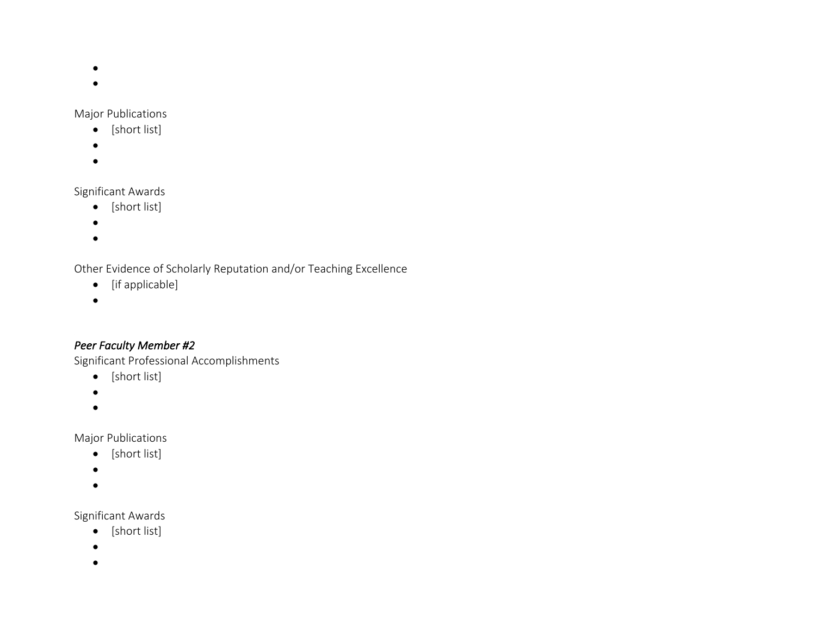- •
- •

#### Major Publications

- [short list]
- •
- •

# Significant Awards

- [short list]
- •
- •

Other Evidence of Scholarly Reputation and/or Teaching Excellence

- [if applicable]
- •

# *Peer Faculty Member #2*

Significant Professional Accomplishments

- [short list]
- •
- •

Major Publications

- [short list]
- •
- •

## Significant Awards

- [short list]
- •
- •